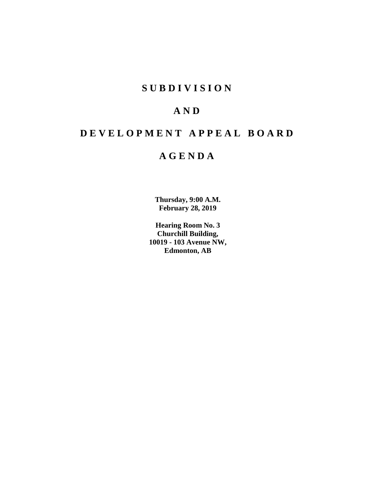# **SUBDIVISION**

# **AND**

# **DEVELOPMENT APPEAL BOARD**

# **AGENDA**

**Thursday, 9:00 A.M. February 28, 2019**

**Hearing Room No. 3 Churchill Building, 10019 - 103 Avenue NW, Edmonton, AB**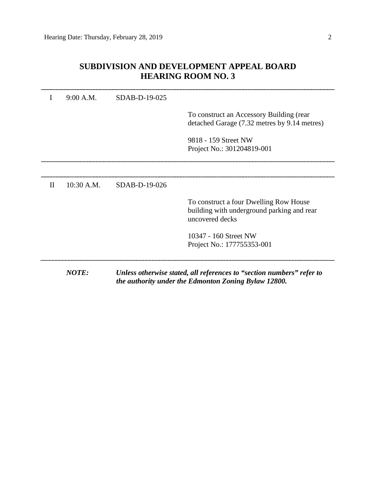|              | 9:00 A.M.    | SDAB-D-19-025 |                                                                                                                               |
|--------------|--------------|---------------|-------------------------------------------------------------------------------------------------------------------------------|
|              |              |               | To construct an Accessory Building (rear<br>detached Garage (7.32 metres by 9.14 metres)                                      |
|              |              |               | 9818 - 159 Street NW                                                                                                          |
|              |              |               | Project No.: 301204819-001                                                                                                    |
|              |              |               |                                                                                                                               |
| $\mathbf{H}$ | 10:30 A.M.   | SDAB-D-19-026 |                                                                                                                               |
|              |              |               | To construct a four Dwelling Row House<br>building with underground parking and rear<br>uncovered decks                       |
|              |              |               | 10347 - 160 Street NW                                                                                                         |
|              |              |               | Project No.: 177755353-001                                                                                                    |
|              | <b>NOTE:</b> |               | Unless otherwise stated, all references to "section numbers" refer to<br>the authority under the Edmonton Zoning Bylaw 12800. |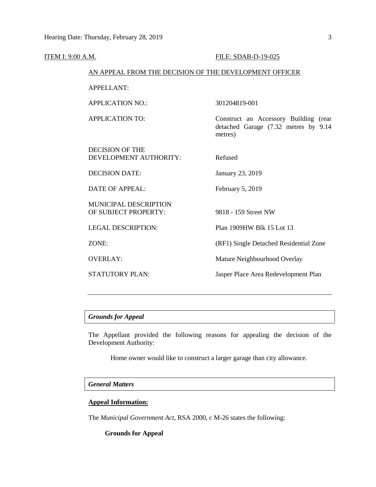| ITEM I: 9:00 A.M. |                                                        | FILE: SDAB-D-19-025                                                                      |
|-------------------|--------------------------------------------------------|------------------------------------------------------------------------------------------|
|                   | AN APPEAL FROM THE DECISION OF THE DEVELOPMENT OFFICER |                                                                                          |
|                   | <b>APPELLANT:</b>                                      |                                                                                          |
|                   | <b>APPLICATION NO.:</b>                                | 301204819-001                                                                            |
|                   | <b>APPLICATION TO:</b>                                 | Construct an Accessory Building (rear<br>detached Garage (7.32 metres by 9.14<br>metres) |
|                   | <b>DECISION OF THE</b><br>DEVELOPMENT AUTHORITY:       | Refused                                                                                  |
|                   | <b>DECISION DATE:</b>                                  | January 23, 2019                                                                         |
|                   | <b>DATE OF APPEAL:</b>                                 | February 5, 2019                                                                         |
|                   | <b>MUNICIPAL DESCRIPTION</b><br>OF SUBJECT PROPERTY:   | 9818 - 159 Street NW                                                                     |
|                   | <b>LEGAL DESCRIPTION:</b>                              | Plan 1909HW Blk 15 Lot 13                                                                |
|                   | ZONE:                                                  | (RF1) Single Detached Residential Zone                                                   |
|                   | <b>OVERLAY:</b>                                        | Mature Neighbourhood Overlay                                                             |
|                   | STATUTORY PLAN:                                        | Jasper Place Area Redevelopment Plan                                                     |
|                   |                                                        |                                                                                          |

# *Grounds for Appeal*

The Appellant provided the following reasons for appealing the decision of the Development Authority:

Home owner would like to construct a larger garage than city allowance.

# *General Matters*

# **Appeal Information:**

The *Municipal Government Act*, RSA 2000, c M-26 states the following:

# **Grounds for Appeal**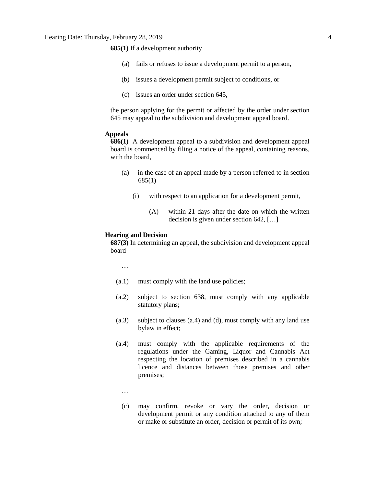**685(1)** If a development authority

- (a) fails or refuses to issue a development permit to a person,
- (b) issues a development permit subject to conditions, or
- (c) issues an order under section 645,

the person applying for the permit or affected by the order under section 645 may appeal to the subdivision and development appeal board.

#### **Appeals**

**686(1)** A development appeal to a subdivision and development appeal board is commenced by filing a notice of the appeal, containing reasons, with the board,

- (a) in the case of an appeal made by a person referred to in section 685(1)
	- (i) with respect to an application for a development permit,
		- (A) within 21 days after the date on which the written decision is given under section 642, […]

#### **Hearing and Decision**

**687(3)** In determining an appeal, the subdivision and development appeal board

…

- (a.1) must comply with the land use policies;
- (a.2) subject to section 638, must comply with any applicable statutory plans;
- (a.3) subject to clauses (a.4) and (d), must comply with any land use bylaw in effect;
- (a.4) must comply with the applicable requirements of the regulations under the Gaming, Liquor and Cannabis Act respecting the location of premises described in a cannabis licence and distances between those premises and other premises;
	- …
	- (c) may confirm, revoke or vary the order, decision or development permit or any condition attached to any of them or make or substitute an order, decision or permit of its own;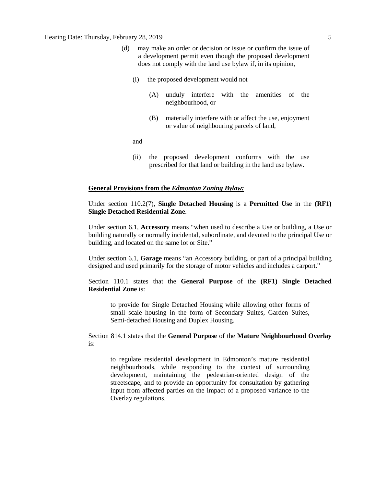## Hearing Date: Thursday, February 28, 2019 5

- (d) may make an order or decision or issue or confirm the issue of a development permit even though the proposed development does not comply with the land use bylaw if, in its opinion,
	- (i) the proposed development would not
		- (A) unduly interfere with the amenities of the neighbourhood, or
		- (B) materially interfere with or affect the use, enjoyment or value of neighbouring parcels of land,

and

(ii) the proposed development conforms with the use prescribed for that land or building in the land use bylaw.

#### **General Provisions from the** *Edmonton Zoning Bylaw:*

Under section 110.2(7), **Single Detached Housing** is a **Permitted Use** in the **(RF1) Single Detached Residential Zone**.

Under section 6.1, **Accessory** means "when used to describe a Use or building, a Use or building naturally or normally incidental, subordinate, and devoted to the principal Use or building, and located on the same lot or Site."

Under section 6.1, **Garage** means "an Accessory building, or part of a principal building designed and used primarily for the storage of motor vehicles and includes a carport."

Section 110.1 states that the **General Purpose** of the **(RF1) Single Detached Residential Zone** is:

to provide for Single Detached Housing while allowing other forms of small scale housing in the form of Secondary Suites, Garden Suites, Semi-detached Housing and Duplex Housing.

Section 814.1 states that the **General Purpose** of the **Mature Neighbourhood Overlay** is:

to regulate residential development in Edmonton's mature residential neighbourhoods, while responding to the context of surrounding development, maintaining the pedestrian-oriented design of the streetscape, and to provide an opportunity for consultation by gathering input from affected parties on the impact of a proposed variance to the Overlay regulations.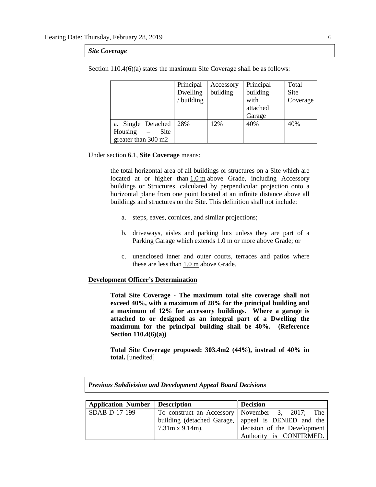#### *Site Coverage*

|                     | Principal  | Accessory | Principal | Total    |
|---------------------|------------|-----------|-----------|----------|
|                     | Dwelling   | building  | building  | Site     |
|                     | / building |           | with      | Coverage |
|                     |            |           | attached  |          |
|                     |            |           | Garage    |          |
| a. Single Detached  | 28%        | 12%       | 40%       | 40%      |
| Housing<br>Site     |            |           |           |          |
| greater than 300 m2 |            |           |           |          |

Section 110.4(6)(a) states the maximum Site Coverage shall be as follows:

Under section 6.1, **Site Coverage** means:

the total horizontal area of all buildings or structures on a Site which are located at or higher than [1.0](javascript:void(0);) m above Grade, including Accessory buildings or Structures, calculated by perpendicular projection onto a horizontal plane from one point located at an infinite distance above all buildings and structures on the Site. This definition shall not include:

- a. steps, eaves, cornices, and similar projections;
- b. driveways, aisles and parking lots unless they are part of a Parking Garage which extends [1.0](javascript:void(0);) m or more above Grade; or
- c. unenclosed inner and outer courts, terraces and patios where these are less than [1.0](javascript:void(0);) m above Grade.

#### **Development Officer's Determination**

**Total Site Coverage - The maximum total site coverage shall not exceed 40%, with a maximum of 28% for the principal building and a maximum of 12% for accessory buildings. Where a garage is attached to or designed as an integral part of a Dwelling the maximum for the principal building shall be 40%. (Reference Section 110.4(6)(a))**

**Total Site Coverage proposed: 303.4m2 (44%), instead of 40% in total.** [unedited]

| <b>Previous Subdivision and Development Appeal Board Decisions</b> |                            |                             |  |  |  |
|--------------------------------------------------------------------|----------------------------|-----------------------------|--|--|--|
|                                                                    |                            |                             |  |  |  |
| <b>Application Number</b>                                          | <b>Description</b>         | <b>Decision</b>             |  |  |  |
| SDAB-D-17-199                                                      | To construct an Accessory  | November 3, 2017; The       |  |  |  |
|                                                                    | building (detached Garage, | appeal is DENIED and the    |  |  |  |
|                                                                    | $7.31m x 9.14m$ ).         | decision of the Development |  |  |  |
|                                                                    |                            | Authority is CONFIRMED.     |  |  |  |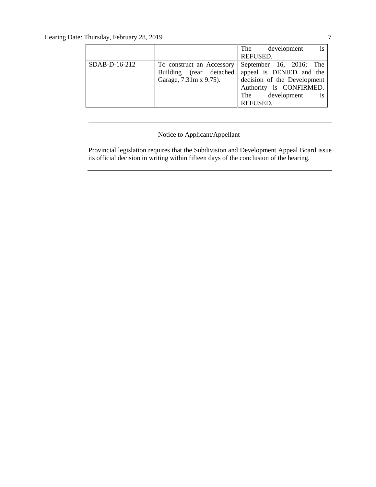|               |                           | is<br>The development       |
|---------------|---------------------------|-----------------------------|
|               |                           | REFUSED.                    |
| SDAB-D-16-212 | To construct an Accessory | September 16, 2016; The     |
|               | Building (rear detached   | appeal is DENIED and the    |
|               | Garage, 7.31m x 9.75).    | decision of the Development |
|               |                           | Authority is CONFIRMED.     |
|               |                           | The development is          |
|               |                           | <b>REFUSED.</b>             |

# Notice to Applicant/Appellant

Provincial legislation requires that the Subdivision and Development Appeal Board issue its official decision in writing within fifteen days of the conclusion of the hearing.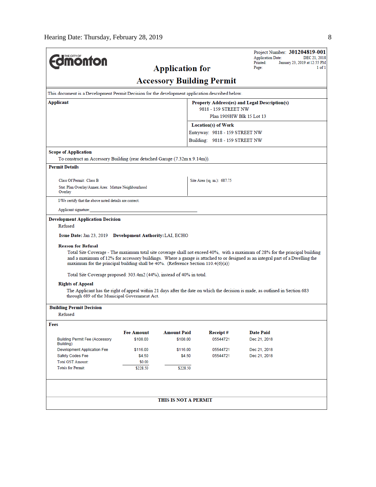|                                                                                                                                                                                                                                                                                                                                                                                                                                                                                                                                                                                                                                                                         |                   |                                  |                                                   | <b>Application Date:</b> | Project Number: 301204819-001<br>DEC 21, 2018 |
|-------------------------------------------------------------------------------------------------------------------------------------------------------------------------------------------------------------------------------------------------------------------------------------------------------------------------------------------------------------------------------------------------------------------------------------------------------------------------------------------------------------------------------------------------------------------------------------------------------------------------------------------------------------------------|-------------------|----------------------------------|---------------------------------------------------|--------------------------|-----------------------------------------------|
| <b>monton</b>                                                                                                                                                                                                                                                                                                                                                                                                                                                                                                                                                                                                                                                           |                   |                                  |                                                   | Printed:<br>Page:        | January 23, 2019 at 12:55 PM                  |
| <b>Application for</b>                                                                                                                                                                                                                                                                                                                                                                                                                                                                                                                                                                                                                                                  |                   |                                  |                                                   |                          | $1$ of $1$                                    |
|                                                                                                                                                                                                                                                                                                                                                                                                                                                                                                                                                                                                                                                                         |                   | <b>Accessory Building Permit</b> |                                                   |                          |                                               |
| This document is a Development Permit Decision for the development application described below.                                                                                                                                                                                                                                                                                                                                                                                                                                                                                                                                                                         |                   |                                  |                                                   |                          |                                               |
| Applicant                                                                                                                                                                                                                                                                                                                                                                                                                                                                                                                                                                                                                                                               |                   |                                  | Property Address(es) and Legal Description(s)     |                          |                                               |
|                                                                                                                                                                                                                                                                                                                                                                                                                                                                                                                                                                                                                                                                         |                   |                                  | 9818 - 159 STREET NW<br>Plan 1909HW Blk 15 Lot 13 |                          |                                               |
|                                                                                                                                                                                                                                                                                                                                                                                                                                                                                                                                                                                                                                                                         |                   |                                  | <b>Location(s) of Work</b>                        |                          |                                               |
|                                                                                                                                                                                                                                                                                                                                                                                                                                                                                                                                                                                                                                                                         |                   |                                  | Entryway: 9818 - 159 STREET NW                    |                          |                                               |
|                                                                                                                                                                                                                                                                                                                                                                                                                                                                                                                                                                                                                                                                         |                   |                                  | Building: 9818 - 159 STREET NW                    |                          |                                               |
| <b>Scope of Application</b>                                                                                                                                                                                                                                                                                                                                                                                                                                                                                                                                                                                                                                             |                   |                                  |                                                   |                          |                                               |
| To construct an Accessory Building (rear detached Garage (7.32m x 9.14m)).                                                                                                                                                                                                                                                                                                                                                                                                                                                                                                                                                                                              |                   |                                  |                                                   |                          |                                               |
| <b>Permit Details</b>                                                                                                                                                                                                                                                                                                                                                                                                                                                                                                                                                                                                                                                   |                   |                                  |                                                   |                          |                                               |
| Class Of Permit: Class B                                                                                                                                                                                                                                                                                                                                                                                                                                                                                                                                                                                                                                                |                   |                                  | Site Area (sq. m.): 687.75                        |                          |                                               |
| Stat. Plan Overlay/Annex Area: Mature Neighbourhood<br>Overlay                                                                                                                                                                                                                                                                                                                                                                                                                                                                                                                                                                                                          |                   |                                  |                                                   |                          |                                               |
| I/We certify that the above noted details are correct.                                                                                                                                                                                                                                                                                                                                                                                                                                                                                                                                                                                                                  |                   |                                  |                                                   |                          |                                               |
| Applicant signature:                                                                                                                                                                                                                                                                                                                                                                                                                                                                                                                                                                                                                                                    |                   |                                  |                                                   |                          |                                               |
| <b>Reason for Refusal</b><br>Total Site Coverage - The maximum total site coverage shall not exceed 40%, with a maximum of 28% for the principal building<br>and a maximum of 12% for accessory buildings. Where a garage is attached to or designed as an integral part of a Dwelling the<br>maximum for the principal building shall be $40\%$ . (Reference Section 110.4(6)(a))<br>Total Site Coverage proposed: 303.4m2 (44%), instead of 40% in total.<br><b>Rights of Appeal</b><br>The Applicant has the right of appeal within 21 days after the date on which the decision is made, as outlined in Section 683<br>through 689 of the Municipal Government Act. |                   |                                  |                                                   |                          |                                               |
| <b>Building Permit Decision</b><br>Refused                                                                                                                                                                                                                                                                                                                                                                                                                                                                                                                                                                                                                              |                   |                                  |                                                   |                          |                                               |
|                                                                                                                                                                                                                                                                                                                                                                                                                                                                                                                                                                                                                                                                         |                   |                                  |                                                   |                          |                                               |
| Fees                                                                                                                                                                                                                                                                                                                                                                                                                                                                                                                                                                                                                                                                    | <b>Fee Amount</b> | <b>Amount Paid</b>               | Receipt#                                          | <b>Date Paid</b>         |                                               |
| <b>Building Permit Fee (Accessory</b>                                                                                                                                                                                                                                                                                                                                                                                                                                                                                                                                                                                                                                   | \$108.00          | \$108.00                         | 05544721                                          | Dec 21, 2018             |                                               |
| Building)<br><b>Development Application Fee</b>                                                                                                                                                                                                                                                                                                                                                                                                                                                                                                                                                                                                                         | \$116.00          | \$116.00                         | 05544721                                          | Dec 21, 2018             |                                               |
| Safety Codes Fee                                                                                                                                                                                                                                                                                                                                                                                                                                                                                                                                                                                                                                                        | \$4.50            | \$4.50                           | 05544721                                          | Dec 21, 2018             |                                               |
| <b>Total GST Amount:</b>                                                                                                                                                                                                                                                                                                                                                                                                                                                                                                                                                                                                                                                | \$0.00            |                                  |                                                   |                          |                                               |
| <b>Totals for Permit:</b>                                                                                                                                                                                                                                                                                                                                                                                                                                                                                                                                                                                                                                               | \$228.50          | \$228.50                         |                                                   |                          |                                               |
|                                                                                                                                                                                                                                                                                                                                                                                                                                                                                                                                                                                                                                                                         |                   |                                  |                                                   |                          |                                               |
|                                                                                                                                                                                                                                                                                                                                                                                                                                                                                                                                                                                                                                                                         |                   |                                  |                                                   |                          |                                               |
|                                                                                                                                                                                                                                                                                                                                                                                                                                                                                                                                                                                                                                                                         |                   | THIS IS NOT A PERMIT             |                                                   |                          |                                               |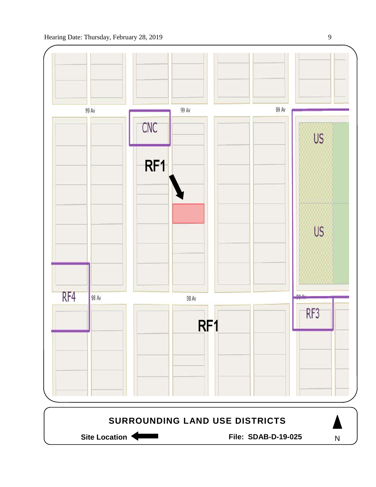

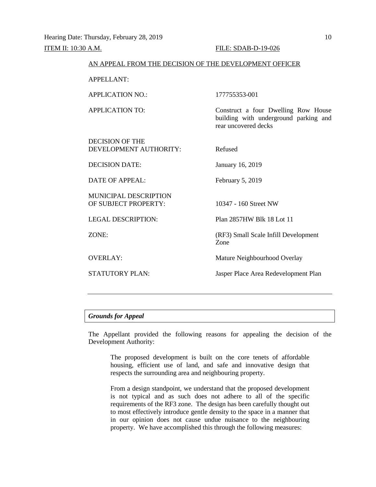# AN APPEAL FROM THE DECISION OF THE DEVELOPMENT OFFICER APPELLANT: APPLICATION NO.: 177755353-001 APPLICATION TO: Construct a four Dwelling Row House building with underground parking and rear uncovered decks DECISION OF THE DEVELOPMENT AUTHORITY: Refused DECISION DATE: January 16, 2019 DATE OF APPEAL: February 5, 2019 MUNICIPAL DESCRIPTION OF SUBJECT PROPERTY: 10347 - 160 Street NW LEGAL DESCRIPTION: Plan 2857HW Blk 18 Lot 11 ZONE: (RF3) Small Scale Infill Development Zone OVERLAY: Mature Neighbourhood Overlay STATUTORY PLAN: Jasper Place Area Redevelopment Plan

### *Grounds for Appeal*

The Appellant provided the following reasons for appealing the decision of the Development Authority:

The proposed development is built on the core tenets of affordable housing, efficient use of land, and safe and innovative design that respects the surrounding area and neighbouring property.

From a design standpoint, we understand that the proposed development is not typical and as such does not adhere to all of the specific requirements of the RF3 zone. The design has been carefully thought out to most effectively introduce gentle density to the space in a manner that in our opinion does not cause undue nuisance to the neighbouring property. We have accomplished this through the following measures: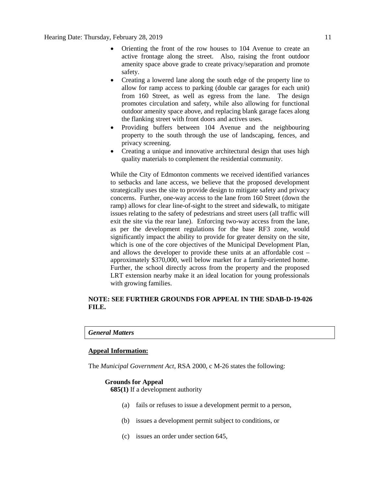- Orienting the front of the row houses to 104 Avenue to create an active frontage along the street. Also, raising the front outdoor amenity space above grade to create privacy/separation and promote safety.
- Creating a lowered lane along the south edge of the property line to allow for ramp access to parking (double car garages for each unit) from 160 Street, as well as egress from the lane. The design promotes circulation and safety, while also allowing for functional outdoor amenity space above, and replacing blank garage faces along the flanking street with front doors and actives uses.
- Providing buffers between 104 Avenue and the neighbouring property to the south through the use of landscaping, fences, and privacy screening.
- Creating a unique and innovative architectural design that uses high quality materials to complement the residential community.

While the City of Edmonton comments we received identified variances to setbacks and lane access, we believe that the proposed development strategically uses the site to provide design to mitigate safety and privacy concerns. Further, one-way access to the lane from 160 Street (down the ramp) allows for clear line-of-sight to the street and sidewalk, to mitigate issues relating to the safety of pedestrians and street users (all traffic will exit the site via the rear lane). Enforcing two-way access from the lane, as per the development regulations for the base RF3 zone, would significantly impact the ability to provide for greater density on the site, which is one of the core objectives of the Municipal Development Plan, and allows the developer to provide these units at an affordable cost – approximately \$370,000, well below market for a family-oriented home. Further, the school directly across from the property and the proposed LRT extension nearby make it an ideal location for young professionals with growing families.

## **NOTE: SEE FURTHER GROUNDS FOR APPEAL IN THE SDAB-D-19-026 FILE.**

#### *General Matters*

#### **Appeal Information:**

The *Municipal Government Act*, RSA 2000, c M-26 states the following:

## **Grounds for Appeal**

**685(1)** If a development authority

- (a) fails or refuses to issue a development permit to a person,
- (b) issues a development permit subject to conditions, or
- (c) issues an order under section 645,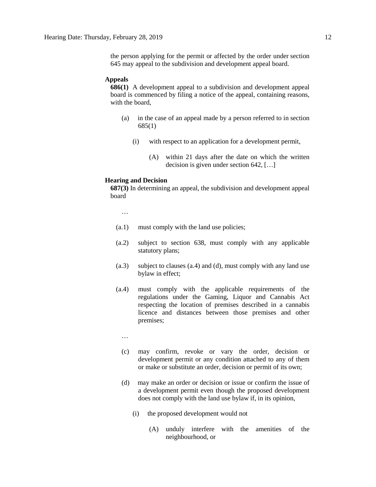the person applying for the permit or affected by the order under section 645 may appeal to the subdivision and development appeal board.

#### **Appeals**

**686(1)** A development appeal to a subdivision and development appeal board is commenced by filing a notice of the appeal, containing reasons, with the board,

- (a) in the case of an appeal made by a person referred to in section 685(1)
	- (i) with respect to an application for a development permit,
		- (A) within 21 days after the date on which the written decision is given under section 642, […]

#### **Hearing and Decision**

**687(3)** In determining an appeal, the subdivision and development appeal board

…

- (a.1) must comply with the land use policies;
- (a.2) subject to section 638, must comply with any applicable statutory plans;
- (a.3) subject to clauses (a.4) and (d), must comply with any land use bylaw in effect;
- (a.4) must comply with the applicable requirements of the regulations under the Gaming, Liquor and Cannabis Act respecting the location of premises described in a cannabis licence and distances between those premises and other premises;
	- …
	- (c) may confirm, revoke or vary the order, decision or development permit or any condition attached to any of them or make or substitute an order, decision or permit of its own;
	- (d) may make an order or decision or issue or confirm the issue of a development permit even though the proposed development does not comply with the land use bylaw if, in its opinion,
		- (i) the proposed development would not
			- (A) unduly interfere with the amenities of the neighbourhood, or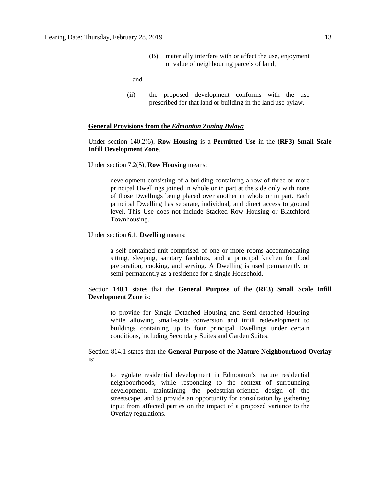(B) materially interfere with or affect the use, enjoyment or value of neighbouring parcels of land,

and

(ii) the proposed development conforms with the use prescribed for that land or building in the land use bylaw.

#### **General Provisions from the** *Edmonton Zoning Bylaw:*

## Under section 140.2(6), **Row Housing** is a **Permitted Use** in the **(RF3) Small Scale Infill Development Zone**.

Under section 7.2(5), **Row Housing** means:

development consisting of a building containing a row of three or more principal Dwellings joined in whole or in part at the side only with none of those Dwellings being placed over another in whole or in part. Each principal Dwelling has separate, individual, and direct access to ground level. This Use does not include Stacked Row Housing or Blatchford Townhousing.

Under section 6.1, **Dwelling** means:

a self contained unit comprised of one or more rooms accommodating sitting, sleeping, sanitary facilities, and a principal kitchen for food preparation, cooking, and serving. A Dwelling is used permanently or semi-permanently as a residence for a single Household.

Section 140.1 states that the **General Purpose** of the **(RF3) Small Scale Infill Development Zone** is:

to provide for Single Detached Housing and Semi-detached Housing while allowing small-scale conversion and infill redevelopment to buildings containing up to four principal Dwellings under certain conditions, including Secondary Suites and Garden Suites.

Section 814.1 states that the **General Purpose** of the **Mature Neighbourhood Overlay** is:

to regulate residential development in Edmonton's mature residential neighbourhoods, while responding to the context of surrounding development, maintaining the pedestrian-oriented design of the streetscape, and to provide an opportunity for consultation by gathering input from affected parties on the impact of a proposed variance to the Overlay regulations.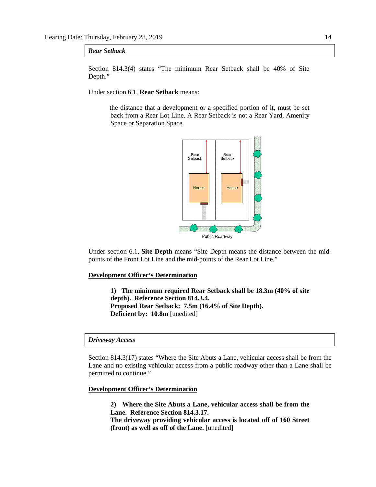#### *Rear Setback*

Section 814.3(4) states "The minimum Rear Setback shall be 40% of Site Depth."

Under section 6.1, **Rear Setback** means:

the distance that a development or a specified portion of it, must be set back from a Rear Lot Line. A Rear Setback is not a Rear Yard, Amenity Space or Separation Space.



Under section 6.1, **Site Depth** means "Site Depth means the distance between the midpoints of the Front Lot Line and the mid-points of the Rear Lot Line."

#### **Development Officer's Determination**

**1) The minimum required Rear Setback shall be 18.3m (40% of site depth). Reference Section 814.3.4. Proposed Rear Setback: 7.5m (16.4% of Site Depth). Deficient by: 10.8m** [unedited]

#### *Driveway Access*

Section 814.3(17) states "Where the Site Abuts a Lane, vehicular access shall be from the Lane and no existing vehicular access from a public roadway other than a Lane shall be permitted to continue."

**Development Officer's Determination**

**2) Where the Site Abuts a Lane, vehicular access shall be from the Lane. Reference Section 814.3.17.**

**The driveway providing vehicular access is located off of 160 Street (front) as well as off of the Lane.** [unedited]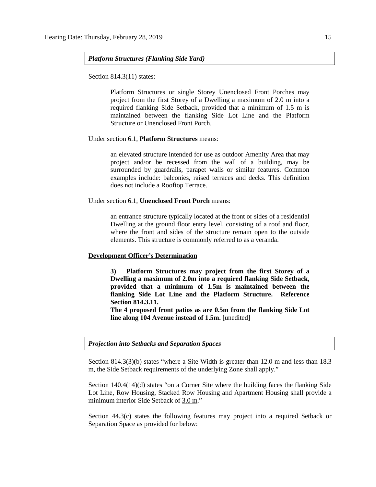*Platform Structures (Flanking Side Yard)*

Section 814.3(11) states:

Platform Structures or single Storey Unenclosed Front Porches may project from the first Storey of a Dwelling a maximum of 2.0 m into a required flanking Side Setback, provided that a minimum of 1.5 m is maintained between the flanking Side Lot Line and the Platform Structure or Unenclosed Front Porch.

Under section 6.1, **Platform Structures** means:

an elevated structure intended for use as outdoor Amenity Area that may project and/or be recessed from the wall of a building, may be surrounded by guardrails, parapet walls or similar features. Common examples include: balconies, raised terraces and decks. This definition does not include a Rooftop Terrace.

Under section 6.1, **Unenclosed Front Porch** means:

an entrance structure typically located at the front or sides of a residential Dwelling at the ground floor entry level, consisting of a roof and floor, where the front and sides of the structure remain open to the outside elements. This structure is commonly referred to as a veranda.

#### **Development Officer's Determination**

**3) Platform Structures may project from the first Storey of a Dwelling a maximum of 2.0m into a required flanking Side Setback, provided that a minimum of 1.5m is maintained between the flanking Side Lot Line and the Platform Structure. Reference Section 814.3.11.**

**The 4 proposed front patios as are 0.5m from the flanking Side Lot line along 104 Avenue instead of 1.5m.** [unedited]

*Projection into Setbacks and Separation Spaces*

Section 814.3(3)(b) states "where a Site Width is greater than 12.0 m and less than 18.3 m, the Side Setback requirements of the underlying Zone shall apply."

Section 140.4(14)(d) states "on a Corner Site where the building faces the flanking Side Lot Line, Row Housing, Stacked Row Housing and Apartment Housing shall provide a minimum interior Side Setback of 3.0 m."

Section 44.3(c) states the following features may project into a required Setback or Separation Space as provided for below: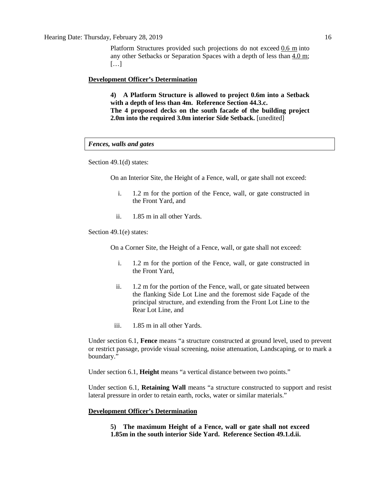Platform Structures provided such projections do not exceed [0.6 m](javascript:void(0);) into any other Setbacks or Separation Spaces with a depth of less than [4.0 m;](javascript:void(0);) […]

#### **Development Officer's Determination**

**4) A Platform Structure is allowed to project 0.6m into a Setback with a depth of less than 4m. Reference Section 44.3.c. The 4 proposed decks on the south facade of the building project 2.0m into the required 3.0m interior Side Setback.** [unedited]

#### *Fences, walls and gates*

Section 49.1(d) states:

On an Interior Site, the Height of a Fence, wall, or gate shall not exceed:

- i. 1.2 m for the portion of the Fence, wall, or gate constructed in the Front Yard, and
- ii. 1.85 m in all other Yards.

Section 49.1(e) states:

On a Corner Site, the Height of a Fence, wall, or gate shall not exceed:

- i. 1.2 m for the portion of the Fence, wall, or gate constructed in the Front Yard,
- ii. 1.2 m for the portion of the Fence, wall, or gate situated between the flanking Side Lot Line and the foremost side Façade of the principal structure, and extending from the Front Lot Line to the Rear Lot Line, and
- iii. 1.85 m in all other Yards.

Under section 6.1, **Fence** means "a structure constructed at ground level, used to prevent or restrict passage, provide visual screening, noise attenuation, Landscaping, or to mark a boundary."

Under section 6.1, **Height** means "a vertical distance between two points."

Under section 6.1, **Retaining Wall** means "a structure constructed to support and resist lateral pressure in order to retain earth, rocks, water or similar materials."

#### **Development Officer's Determination**

**5) The maximum Height of a Fence, wall or gate shall not exceed 1.85m in the south interior Side Yard. Reference Section 49.1.d.ii.**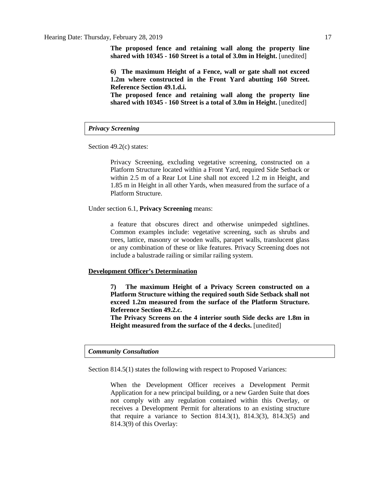**The proposed fence and retaining wall along the property line shared with 10345 - 160 Street is a total of 3.0m in Height.** [unedited]

**6) The maximum Height of a Fence, wall or gate shall not exceed 1.2m where constructed in the Front Yard abutting 160 Street. Reference Section 49.1.d.i.**

**The proposed fence and retaining wall along the property line shared with 10345 - 160 Street is a total of 3.0m in Height.** [unedited]

#### *Privacy Screening*

Section 49.2(c) states:

Privacy Screening, excluding vegetative screening, constructed on a Platform Structure located within a Front Yard, required Side Setback or within 2.5 m of a Rear Lot Line shall not exceed 1.2 m in Height, and 1.85 m in Height in all other Yards, when measured from the surface of a Platform Structure.

Under section 6.1, **Privacy Screening** means:

a feature that obscures direct and otherwise unimpeded sightlines. Common examples include: vegetative screening, such as shrubs and trees, lattice, masonry or wooden walls, parapet walls, translucent glass or any combination of these or like features. Privacy Screening does not include a balustrade railing or similar railing system.

#### **Development Officer's Determination**

**7) The maximum Height of a Privacy Screen constructed on a Platform Structure withing the required south Side Setback shall not exceed 1.2m measured from the surface of the Platform Structure. Reference Section 49.2.c.**

**The Privacy Screens on the 4 interior south Side decks are 1.8m in Height measured from the surface of the 4 decks.** [unedited]

## *Community Consultation*

Section 814.5(1) states the following with respect to Proposed Variances:

When the Development Officer receives a Development Permit Application for a new principal building, or a new Garden Suite that does not comply with any regulation contained within this Overlay, or receives a Development Permit for alterations to an existing structure that require a variance to Section 814.3(1), 814.3(3), 814.3(5) and 814.3(9) of this Overlay: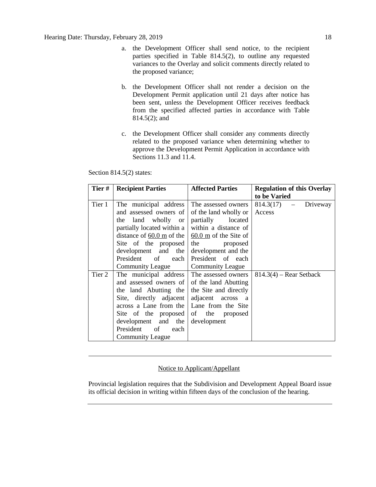- a. the Development Officer shall send notice, to the recipient parties specified in Table 814.5(2), to outline any requested variances to the Overlay and solicit comments directly related to the proposed variance;
- b. the Development Officer shall not render a decision on the Development Permit application until 21 days after notice has been sent, unless the Development Officer receives feedback from the specified affected parties in accordance with Table 814.5(2); and
- c. the Development Officer shall consider any comments directly related to the proposed variance when determining whether to approve the Development Permit Application in accordance with Sections 11.3 and 11.4.

Section 814.5(2) states:

| Tier#  | <b>Recipient Parties</b>                                | <b>Affected Parties</b> | <b>Regulation of this Overlay</b> |  |
|--------|---------------------------------------------------------|-------------------------|-----------------------------------|--|
|        |                                                         |                         | to be Varied                      |  |
| Tier 1 | The municipal address                                   | The assessed owners     | $814.3(17)$ - Driveway            |  |
|        | and assessed owners of                                  | of the land wholly or   | Access                            |  |
|        | land wholly or<br>the                                   | partially<br>located    |                                   |  |
|        | partially located within a                              | within a distance of    |                                   |  |
|        | distance of 60.0 m of the $\vert$ 60.0 m of the Site of |                         |                                   |  |
|        | Site of the proposed the proposed                       |                         |                                   |  |
|        | development and the                                     | development and the     |                                   |  |
|        | President<br>of<br>each                                 | President of each       |                                   |  |
|        | Community League                                        | <b>Community League</b> |                                   |  |
| Tier 2 | The municipal address                                   | The assessed owners     | $814.3(4)$ – Rear Setback         |  |
|        | and assessed owners of of the land Abutting             |                         |                                   |  |
|        | the land Abutting the the Site and directly             |                         |                                   |  |
|        | Site, directly adjacent adjacent across                 | <sub>a</sub>            |                                   |  |
|        | across a Lane from the                                  | Lane from the Site      |                                   |  |
|        | Site of the proposed                                    | of the proposed         |                                   |  |
|        | development and the                                     | development             |                                   |  |
|        | President<br>of<br>each                                 |                         |                                   |  |
|        | Community League                                        |                         |                                   |  |

### Notice to Applicant/Appellant

Provincial legislation requires that the Subdivision and Development Appeal Board issue its official decision in writing within fifteen days of the conclusion of the hearing.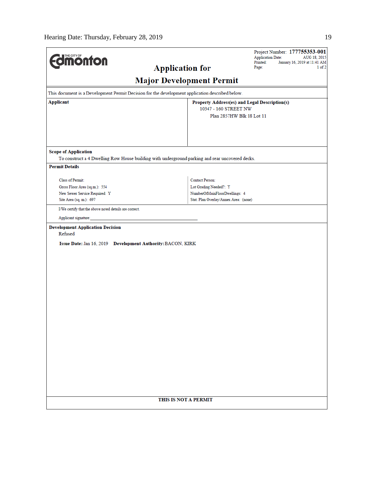| <b>Edmonton</b>                                                                                                   |                                 | Project Number: 177755353-001<br><b>Application Date:</b><br>AUG 18, 2015<br>Printed:<br>January 16, 2019 at 11:41 AM |                 |
|-------------------------------------------------------------------------------------------------------------------|---------------------------------|-----------------------------------------------------------------------------------------------------------------------|-----------------|
|                                                                                                                   | <b>Application for</b>          |                                                                                                                       | Page:<br>1 of 2 |
|                                                                                                                   | <b>Major Development Permit</b> |                                                                                                                       |                 |
| This document is a Development Permit Decision for the development application described below.                   |                                 |                                                                                                                       |                 |
| <b>Applicant</b>                                                                                                  |                                 | Property Address(es) and Legal Description(s)<br>10347 - 160 STREET NW                                                |                 |
|                                                                                                                   |                                 | Plan 2857HW Blk 18 Lot 11                                                                                             |                 |
|                                                                                                                   |                                 |                                                                                                                       |                 |
| <b>Scope of Application</b>                                                                                       |                                 |                                                                                                                       |                 |
| To construct a 4 Dwelling Row House building with underground parking and rear uncovered decks.                   |                                 |                                                                                                                       |                 |
| <b>Permit Details</b>                                                                                             |                                 |                                                                                                                       |                 |
| Class of Permit:                                                                                                  |                                 | <b>Contact Person:</b>                                                                                                |                 |
| Gross Floor Area (sq.m.): 554                                                                                     |                                 | Lot Grading Needed?: Y                                                                                                |                 |
| New Sewer Service Required: Y                                                                                     |                                 | NumberOfMainFloorDwellings: 4                                                                                         |                 |
| Site Area (sq. m.): 697                                                                                           |                                 | Stat. Plan Overlay/Annex Area: (none)                                                                                 |                 |
| I/We certify that the above noted details are correct.                                                            |                                 |                                                                                                                       |                 |
| Applicant signature:                                                                                              |                                 |                                                                                                                       |                 |
| <b>Development Application Decision</b><br>Refused<br>Issue Date: Jan 16, 2019 Development Authority: BACON, KIRK |                                 |                                                                                                                       |                 |
|                                                                                                                   |                                 |                                                                                                                       |                 |
|                                                                                                                   |                                 |                                                                                                                       |                 |
|                                                                                                                   |                                 |                                                                                                                       |                 |
|                                                                                                                   |                                 |                                                                                                                       |                 |
|                                                                                                                   |                                 |                                                                                                                       |                 |
|                                                                                                                   |                                 |                                                                                                                       |                 |
|                                                                                                                   |                                 |                                                                                                                       |                 |
|                                                                                                                   |                                 |                                                                                                                       |                 |
|                                                                                                                   |                                 |                                                                                                                       |                 |
|                                                                                                                   |                                 |                                                                                                                       |                 |
|                                                                                                                   |                                 |                                                                                                                       |                 |
|                                                                                                                   |                                 |                                                                                                                       |                 |
|                                                                                                                   |                                 |                                                                                                                       |                 |
|                                                                                                                   |                                 |                                                                                                                       |                 |
|                                                                                                                   |                                 |                                                                                                                       |                 |
|                                                                                                                   |                                 |                                                                                                                       |                 |
|                                                                                                                   |                                 |                                                                                                                       |                 |
|                                                                                                                   |                                 |                                                                                                                       |                 |
|                                                                                                                   | THIS IS NOT A PERMIT            |                                                                                                                       |                 |
|                                                                                                                   |                                 |                                                                                                                       |                 |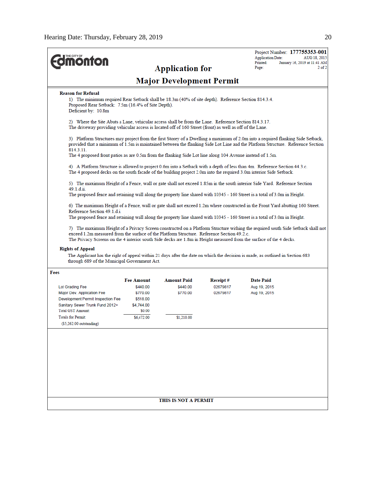| THE CITY OF                                                                                                                                                                                                      |                                                                                                                                                           |                                 |                      | Project Number: 177755353-001<br><b>Application Date:</b><br>AUG 18, 2015                                                                                                                                                                                         |  |  |  |
|------------------------------------------------------------------------------------------------------------------------------------------------------------------------------------------------------------------|-----------------------------------------------------------------------------------------------------------------------------------------------------------|---------------------------------|----------------------|-------------------------------------------------------------------------------------------------------------------------------------------------------------------------------------------------------------------------------------------------------------------|--|--|--|
| <b>ionton</b>                                                                                                                                                                                                    |                                                                                                                                                           | <b>Application for</b>          |                      | Printed:<br>January 16, 2019 at 11:41 AM<br>$2$ of $2$<br>Page:                                                                                                                                                                                                   |  |  |  |
|                                                                                                                                                                                                                  |                                                                                                                                                           | <b>Major Development Permit</b> |                      |                                                                                                                                                                                                                                                                   |  |  |  |
| <b>Reason for Refusal</b>                                                                                                                                                                                        |                                                                                                                                                           |                                 |                      |                                                                                                                                                                                                                                                                   |  |  |  |
| Deficient by: 10.8m                                                                                                                                                                                              | 1) The minimum required Rear Setback shall be 18.3m (40% of site depth). Reference Section 814.3.4.<br>Proposed Rear Setback: 7.5m (16.4% of Site Depth). |                                 |                      |                                                                                                                                                                                                                                                                   |  |  |  |
| 2) Where the Site Abuts a Lane, vehicular access shall be from the Lane. Reference Section 814.3.17.<br>The driveway providing vehicular access is located off of 160 Street (front) as well as off of the Lane. |                                                                                                                                                           |                                 |                      |                                                                                                                                                                                                                                                                   |  |  |  |
| 814.3.11.                                                                                                                                                                                                        |                                                                                                                                                           |                                 |                      | 3) Platform Structures may project from the first Storey of a Dwelling a maximum of 2.0m into a required flanking Side Setback,<br>provided that a minimum of 1.5m is maintained between the flanking Side Lot Line and the Platform Structure. Reference Section |  |  |  |
| The 4 proposed front patios as are 0.5m from the flanking Side Lot line along 104 Avenue instead of 1.5m.                                                                                                        |                                                                                                                                                           |                                 |                      |                                                                                                                                                                                                                                                                   |  |  |  |
|                                                                                                                                                                                                                  |                                                                                                                                                           |                                 |                      | 4) A Platform Structure is allowed to project 0.6m into a Setback with a depth of less than 4m. Reference Section 44.3.c.<br>The 4 proposed decks on the south facade of the building project 2.0m into the required 3.0m interior Side Setback.                  |  |  |  |
| 49.1.d.ii.                                                                                                                                                                                                       |                                                                                                                                                           |                                 |                      | 5) The maximum Height of a Fence, wall or gate shall not exceed 1.85m in the south interior Side Yard. Reference Section                                                                                                                                          |  |  |  |
|                                                                                                                                                                                                                  |                                                                                                                                                           |                                 |                      | The proposed fence and retaining wall along the property line shared with 10345 - 160 Street is a total of 3.0m in Height.                                                                                                                                        |  |  |  |
| Reference Section 49.1.d.i.                                                                                                                                                                                      |                                                                                                                                                           |                                 |                      | 6) The maximum Height of a Fence, wall or gate shall not exceed 1.2m where constructed in the Front Yard abutting 160 Street.<br>The proposed fence and retaining wall along the property line shared with 10345 - 160 Street is a total of 3.0m in Height.       |  |  |  |
|                                                                                                                                                                                                                  |                                                                                                                                                           |                                 |                      |                                                                                                                                                                                                                                                                   |  |  |  |
| exceed 1.2m measured from the surface of the Platform Structure. Reference Section 49.2.c.                                                                                                                       |                                                                                                                                                           |                                 |                      | 7) The maximum Height of a Privacy Screen constructed on a Platform Structure withing the required south Side Setback shall not                                                                                                                                   |  |  |  |
|                                                                                                                                                                                                                  |                                                                                                                                                           |                                 |                      | The Privacy Screens on the 4 interior south Side decks are 1.8m in Height measured from the surface of the 4 decks.                                                                                                                                               |  |  |  |
| <b>Rights of Appeal</b>                                                                                                                                                                                          |                                                                                                                                                           |                                 |                      | The Applicant has the right of appeal within 21 days after the date on which the decision is made, as outlined in Section 683                                                                                                                                     |  |  |  |
| through 689 of the Municipal Government Act.                                                                                                                                                                     |                                                                                                                                                           |                                 |                      |                                                                                                                                                                                                                                                                   |  |  |  |
| Fees                                                                                                                                                                                                             |                                                                                                                                                           |                                 |                      |                                                                                                                                                                                                                                                                   |  |  |  |
| Lot Grading Fee                                                                                                                                                                                                  | <b>Fee Amount</b><br>\$440.00                                                                                                                             | <b>Amount Paid</b><br>\$440.00  | Receipt#<br>02679817 | <b>Date Paid</b><br>Aug 19, 2015                                                                                                                                                                                                                                  |  |  |  |
| Major Dev. Application Fee                                                                                                                                                                                       | \$770.00                                                                                                                                                  | \$770.00                        | 02679817             | Aug 19, 2015                                                                                                                                                                                                                                                      |  |  |  |
| Development Permit Inspection Fee                                                                                                                                                                                | \$518.00                                                                                                                                                  |                                 |                      |                                                                                                                                                                                                                                                                   |  |  |  |
| Sanitary Sewer Trunk Fund 2012+                                                                                                                                                                                  | \$4,744.00                                                                                                                                                |                                 |                      |                                                                                                                                                                                                                                                                   |  |  |  |
| Total GST Amount:                                                                                                                                                                                                | \$0.00                                                                                                                                                    |                                 |                      |                                                                                                                                                                                                                                                                   |  |  |  |
| Totals for Permit:                                                                                                                                                                                               | \$6,472.00                                                                                                                                                | \$1,210.00                      |                      |                                                                                                                                                                                                                                                                   |  |  |  |
| $($5,262.00$ outstanding)                                                                                                                                                                                        |                                                                                                                                                           |                                 |                      |                                                                                                                                                                                                                                                                   |  |  |  |
|                                                                                                                                                                                                                  |                                                                                                                                                           |                                 |                      |                                                                                                                                                                                                                                                                   |  |  |  |
|                                                                                                                                                                                                                  |                                                                                                                                                           |                                 |                      |                                                                                                                                                                                                                                                                   |  |  |  |
|                                                                                                                                                                                                                  |                                                                                                                                                           |                                 |                      |                                                                                                                                                                                                                                                                   |  |  |  |
|                                                                                                                                                                                                                  |                                                                                                                                                           |                                 |                      |                                                                                                                                                                                                                                                                   |  |  |  |
|                                                                                                                                                                                                                  |                                                                                                                                                           |                                 |                      |                                                                                                                                                                                                                                                                   |  |  |  |
|                                                                                                                                                                                                                  |                                                                                                                                                           |                                 |                      |                                                                                                                                                                                                                                                                   |  |  |  |
|                                                                                                                                                                                                                  |                                                                                                                                                           |                                 |                      |                                                                                                                                                                                                                                                                   |  |  |  |
|                                                                                                                                                                                                                  |                                                                                                                                                           |                                 |                      |                                                                                                                                                                                                                                                                   |  |  |  |
|                                                                                                                                                                                                                  |                                                                                                                                                           |                                 |                      |                                                                                                                                                                                                                                                                   |  |  |  |
|                                                                                                                                                                                                                  |                                                                                                                                                           | THIS IS NOT A PERMIT            |                      |                                                                                                                                                                                                                                                                   |  |  |  |
|                                                                                                                                                                                                                  |                                                                                                                                                           |                                 |                      |                                                                                                                                                                                                                                                                   |  |  |  |